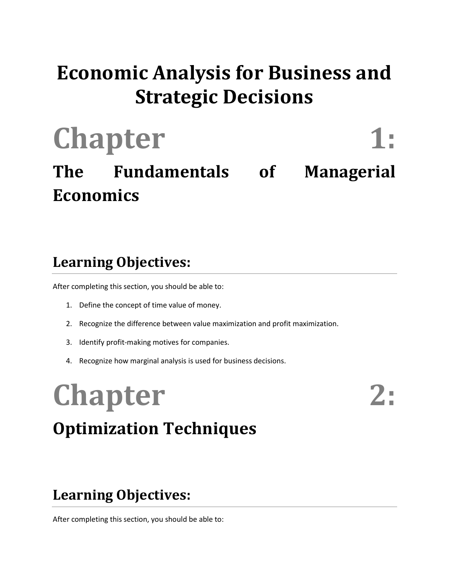## **Economic Analysis for Business and Strategic Decisions**

# Chapter 1:

## **The Fundamentals of Managerial Economics**

### **Learning Objectives:**

After completing this section, you should be able to:

- 1. Define the concept of time value of money.
- 2. Recognize the difference between value maximization and profit maximization.
- 3. Identify profit-making motives for companies.
- 4. Recognize how marginal analysis is used for business decisions.

## Chapter 2: **Optimization Techniques**

### **Learning Objectives:**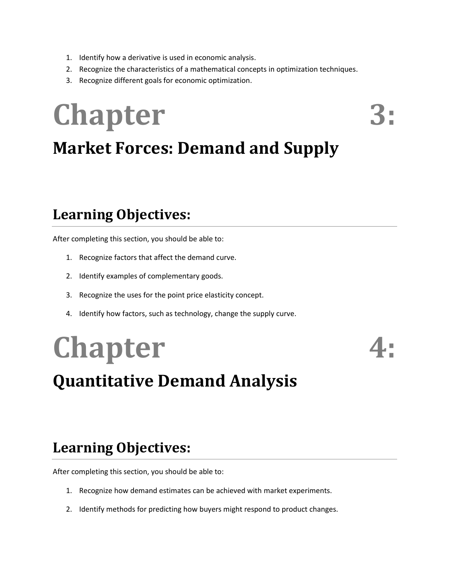- 1. Identify how a derivative is used in economic analysis.
- 2. Recognize the characteristics of a mathematical concepts in optimization techniques.
- 3. Recognize different goals for economic optimization.

## Chapter 3: **Market Forces: Demand and Supply**

### **Learning Objectives:**

After completing this section, you should be able to:

- 1. Recognize factors that affect the demand curve.
- 2. Identify examples of complementary goods.
- 3. Recognize the uses for the point price elasticity concept.
- 4. Identify how factors, such as technology, change the supply curve.

## **Chapter 4: Quantitative Demand Analysis**

### **Learning Objectives:**

- 1. Recognize how demand estimates can be achieved with market experiments.
- 2. Identify methods for predicting how buyers might respond to product changes.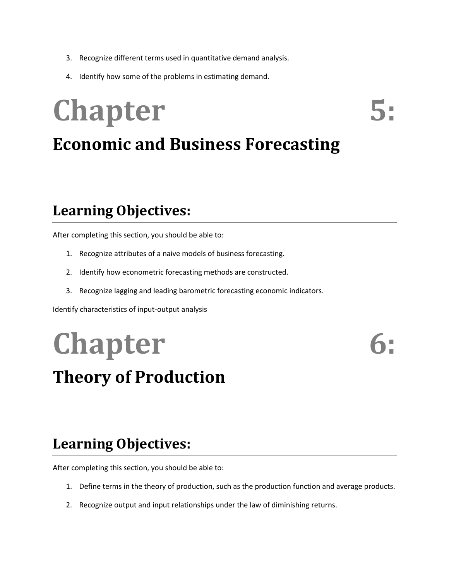- 3. Recognize different terms used in quantitative demand analysis.
- 4. Identify how some of the problems in estimating demand.

# Chapter 5: **Economic and Business Forecasting**

### **Learning Objectives:**

After completing this section, you should be able to:

- 1. Recognize attributes of a naive models of business forecasting.
- 2. Identify how econometric forecasting methods are constructed.
- 3. Recognize lagging and leading barometric forecasting economic indicators.

Identify characteristics of input-output analysis

# **Chapter**

## **Theory of Production**

## **Learning Objectives:**

- 1. Define terms in the theory of production, such as the production function and average products.
- 2. Recognize output and input relationships under the law of diminishing returns.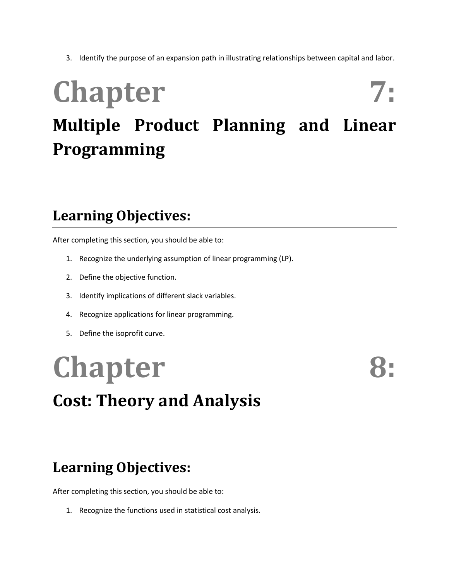3. Identify the purpose of an expansion path in illustrating relationships between capital and labor.

## Chapter 7: **Multiple Product Planning and Linear Programming**

### **Learning Objectives:**

After completing this section, you should be able to:

- 1. Recognize the underlying assumption of linear programming (LP).
- 2. Define the objective function.
- 3. Identify implications of different slack variables.
- 4. Recognize applications for linear programming.
- 5. Define the isoprofit curve.

## **Chapter Cost: Theory and Analysis**

### **Learning Objectives:**

After completing this section, you should be able to:

1. Recognize the functions used in statistical cost analysis.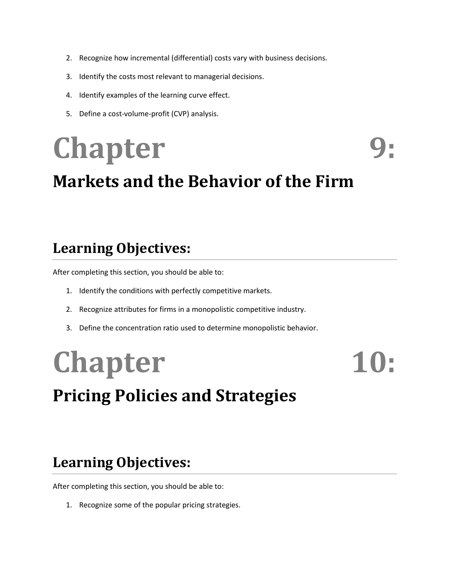- 2. Recognize how incremental (differential) costs vary with business decisions.
- 3. Identify the costs most relevant to managerial decisions.
- 4. Identify examples of the learning curve effect.
- 5. Define a cost-volume-profit (CVP) analysis.

# **Chapter 9:**

## **Markets and the Behavior of the Firm**

### **Learning Objectives:**

After completing this section, you should be able to:

- 1. Identify the conditions with perfectly competitive markets.
- 2. Recognize attributes for firms in a monopolistic competitive industry.
- 3. Define the concentration ratio used to determine monopolistic behavior.

# Chapter 10:

## **Pricing Policies and Strategies**

### **Learning Objectives:**

After completing this section, you should be able to:

1. Recognize some of the popular pricing strategies.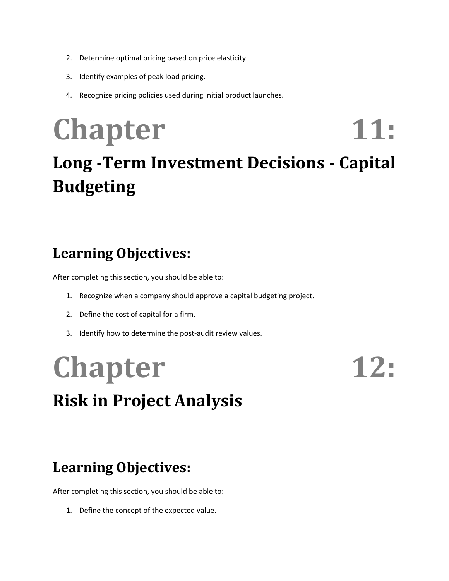- 2. Determine optimal pricing based on price elasticity.
- 3. Identify examples of peak load pricing.
- 4. Recognize pricing policies used during initial product launches.

## Chapter 11: **Long -Term Investment Decisions - Capital Budgeting**

### **Learning Objectives:**

After completing this section, you should be able to:

- 1. Recognize when a company should approve a capital budgeting project.
- 2. Define the cost of capital for a firm.
- 3. Identify how to determine the post-audit review values.

# Chapter 12: **Risk in Project Analysis**

### **Learning Objectives:**

After completing this section, you should be able to:

1. Define the concept of the expected value.